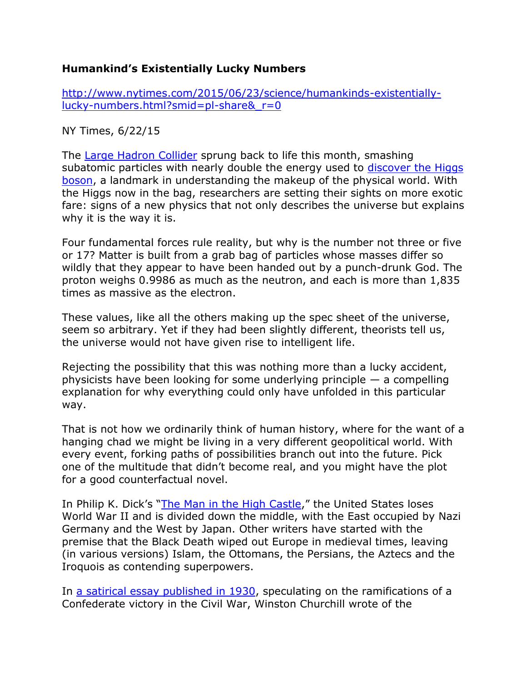## **Humankind's Existentially Lucky Numbers**

[http://www.nytimes.com/2015/06/23/science/humankinds-existentially](http://www.nytimes.com/2015/06/23/science/humankinds-existentially-lucky-numbers.html?smid=pl-share&_r=0)[lucky-numbers.html?smid=pl-share&\\_r=0](http://www.nytimes.com/2015/06/23/science/humankinds-existentially-lucky-numbers.html?smid=pl-share&_r=0)

NY Times, 6/22/15

The [Large Hadron Collider](http://topics.nytimes.com/top/news/science/topics/large_hadron_collider/index.html?inline=nyt-classifier) sprung back to life this month, smashing subatomic particles with nearly double the energy used to discover the Higgs [boson,](http://www.nytimes.com/interactive/2013/03/05/science/higgs-boson-timeline.html#/#time233_7129) a landmark in understanding the makeup of the physical world. With the Higgs now in the bag, researchers are setting their sights on more exotic fare: signs of a new physics that not only describes the universe but explains why it is the way it is.

Four fundamental forces rule reality, but why is the number not three or five or 17? Matter is built from a grab bag of particles whose masses differ so wildly that they appear to have been handed out by a punch-drunk God. The proton weighs 0.9986 as much as the neutron, and each is more than 1,835 times as massive as the electron.

These values, like all the others making up the spec sheet of the universe, seem so arbitrary. Yet if they had been slightly different, theorists tell us, the universe would not have given rise to intelligent life.

Rejecting the possibility that this was nothing more than a lucky accident, physicists have been looking for some underlying principle — a compelling explanation for why everything could only have unfolded in this particular way.

That is not how we ordinarily think of human history, where for the want of a hanging chad we might be living in a very different geopolitical world. With every event, forking paths of possibilities branch out into the future. Pick one of the multitude that didn't become real, and you might have the plot for a good counterfactual novel.

In Philip K. Dick's "[The Man in the High Castle](http://www.nytimes.com/2007/06/24/books/review/Itzkoff2-t.html?pagewanted=print)," the United States loses World War II and is divided down the middle, with the East occupied by Nazi Germany and the West by Japan. Other writers have started with the premise that the Black Death wiped out Europe in medieval times, leaving (in various versions) Islam, the Ottomans, the Persians, the Aztecs and the Iroquois as contending superpowers.

In [a satirical essay published in 1930,](http://web.archive.org/web/20090105132718/http:/www.winstonchurchill.org/i4a/pages/index.cfm?pageid=674) speculating on the ramifications of a Confederate victory in the Civil War, Winston Churchill wrote of the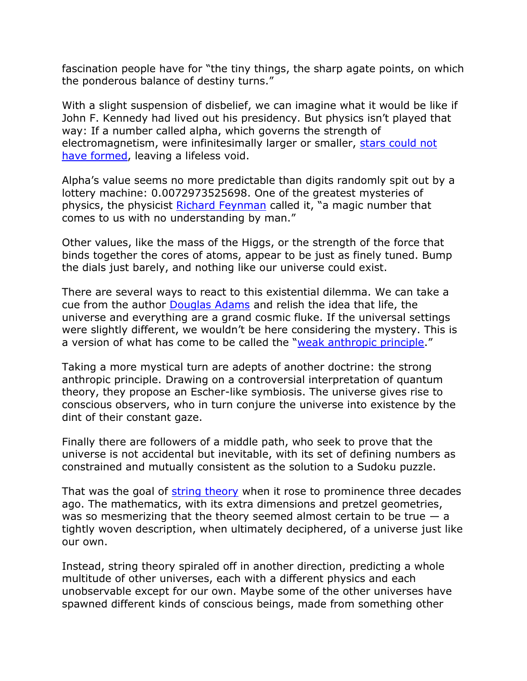fascination people have for "the tiny things, the sharp agate points, on which the ponderous balance of destiny turns."

With a slight suspension of disbelief, we can imagine what it would be like if John F. Kennedy had lived out his presidency. But physics isn't played that way: If a number called alpha, which governs the strength of electromagnetism, were infinitesimally larger or smaller, [stars could not](http://www.physicscentral.com/explore/action/constant.cfm)  [have formed,](http://www.physicscentral.com/explore/action/constant.cfm) leaving a lifeless void.

Alpha's value seems no more predictable than digits randomly spit out by a lottery machine: 0.0072973525698. One of the greatest mysteries of physics, the physicist [Richard Feynman](http://www.nytimes.com/1988/02/17/obituaries/richard-feynman-dead-at-69-leading-theoretical-physicist.html) called it, "a magic number that comes to us with no understanding by man."

Other values, like the mass of the Higgs, or the strength of the force that binds together the cores of atoms, appear to be just as finely tuned. Bump the dials just barely, and nothing like our universe could exist.

There are several ways to react to this existential dilemma. We can take a cue from the author [Douglas Adams](http://www.nytimes.com/2001/05/15/arts/douglas-adams-49-author-of-hitchhiker-s-guide-spoofs.html) and relish the idea that life, the universe and everything are a grand cosmic fluke. If the universal settings were slightly different, we wouldn't be here considering the mystery. This is a version of what has come to be called the "[weak anthropic principle](http://science.howstuffworks.com/science-vs-myth/everyday-myths/anthropic-principle.htm)."

Taking a more mystical turn are adepts of another doctrine: the strong anthropic principle. Drawing on a controversial interpretation of quantum theory, they propose an Escher-like symbiosis. The universe gives rise to conscious observers, who in turn conjure the universe into existence by the dint of their constant gaze.

Finally there are followers of a middle path, who seek to prove that the universe is not accidental but inevitable, with its set of defining numbers as constrained and mutually consistent as the solution to a Sudoku puzzle.

That was the goal of [string theory](http://topics.nytimes.com/top/news/science/topics/string_theory/index.html) when it rose to prominence three decades ago. The mathematics, with its extra dimensions and pretzel geometries, was so mesmerizing that the theory seemed almost certain to be true  $-$  a tightly woven description, when ultimately deciphered, of a universe just like our own.

Instead, string theory spiraled off in another direction, predicting a whole multitude of other universes, each with a different physics and each unobservable except for our own. Maybe some of the other universes have spawned different kinds of conscious beings, made from something other